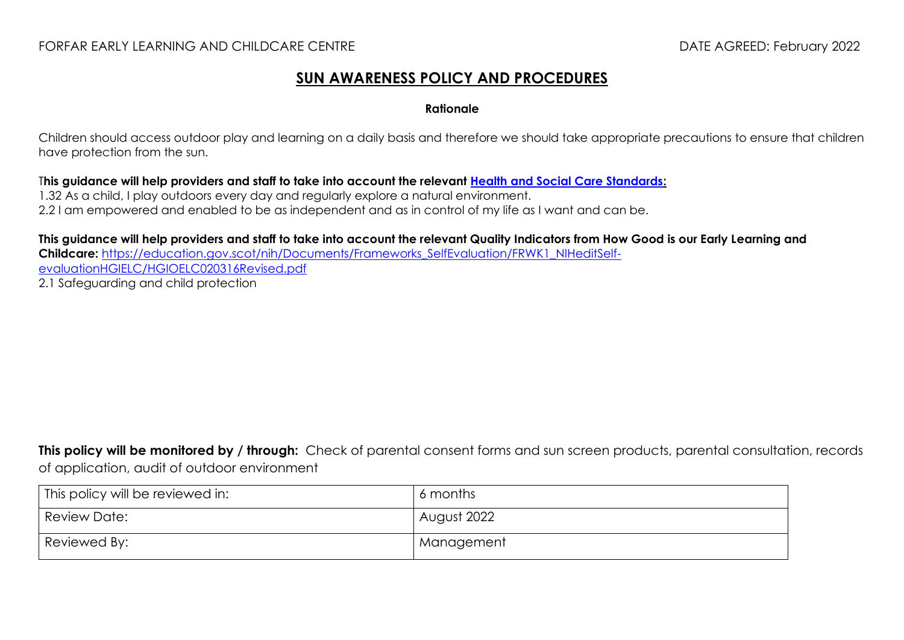### FORFAR EARLY LEARNING AND CHILDCARE CENTRE DATE AGREED: February 2022

## **SUN AWARENESS POLICY AND PROCEDURES**

#### **Rationale**

Children should access outdoor play and learning on a daily basis and therefore we should take appropriate precautions to ensure that children have protection from the sun.

T**his guidance will help providers and staff to take into account the relevant [Health and Social Care Standards:](https://www.gov.scot/binaries/content/documents/govscot/publications/advice-and-guidance/2017/06/health-social-care-standards-support-life/documents/00520693-pdf/00520693-pdf/govscot%3Adocument/00520693.pdf)**

1.32 As a child, I play outdoors every day and regularly explore a natural environment.

2.2 I am empowered and enabled to be as independent and as in control of my life as I want and can be.

**This guidance will help providers and staff to take into account the relevant Quality Indicators from How Good is our Early Learning and Childcare:** [https://education.gov.scot/nih/Documents/Frameworks\\_SelfEvaluation/FRWK1\\_NIHeditSelf](https://education.gov.scot/nih/Documents/Frameworks_SelfEvaluation/FRWK1_NIHeditSelf-evaluationHGIELC/HGIOELC020316Revised.pdf)[evaluationHGIELC/HGIOELC020316Revised.pdf](https://education.gov.scot/nih/Documents/Frameworks_SelfEvaluation/FRWK1_NIHeditSelf-evaluationHGIELC/HGIOELC020316Revised.pdf) 2.1 Safeguarding and child protection

**This policy will be monitored by / through:** Check of parental consent forms and sun screen products, parental consultation, records of application, audit of outdoor environment

| This policy will be reviewed in: | 6 months    |
|----------------------------------|-------------|
| Review Date:                     | August 2022 |
| Reviewed By:                     | Management  |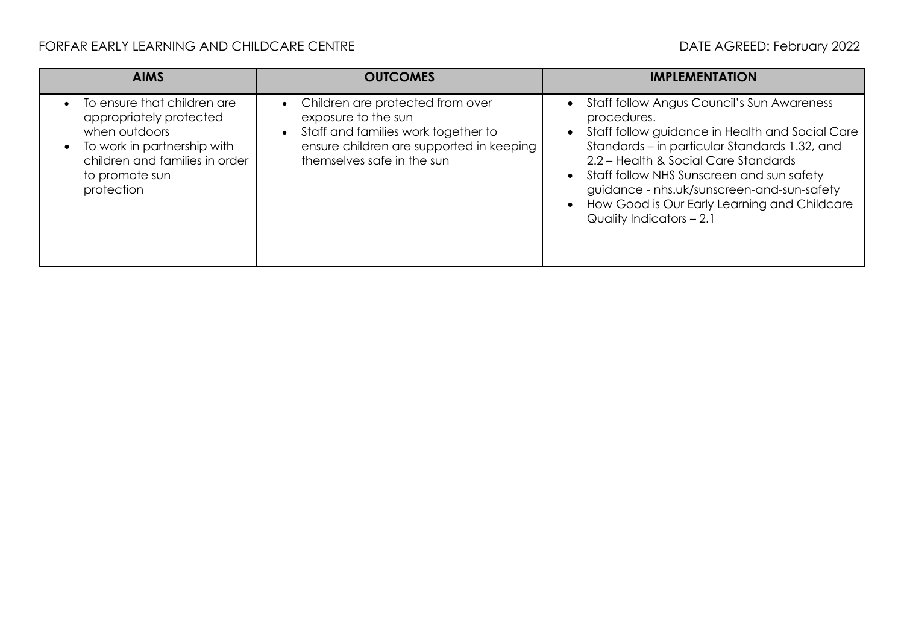# FORFAR EARLY LEARNING AND CHILDCARE CENTRE **Extractional CONTROL** DATE AGREED: February 2022

| <b>AIMS</b>                                                                                                                                                              | <b>OUTCOMES</b>                                                                                                                                                          | <b>IMPLEMENTATION</b>                                                                                                                                                                                                                                                                                                                                                        |
|--------------------------------------------------------------------------------------------------------------------------------------------------------------------------|--------------------------------------------------------------------------------------------------------------------------------------------------------------------------|------------------------------------------------------------------------------------------------------------------------------------------------------------------------------------------------------------------------------------------------------------------------------------------------------------------------------------------------------------------------------|
| To ensure that children are<br>appropriately protected<br>when outdoors<br>To work in partnership with<br>children and families in order<br>to promote sun<br>protection | Children are protected from over<br>exposure to the sun<br>Staff and families work together to<br>ensure children are supported in keeping<br>themselves safe in the sun | Staff follow Angus Council's Sun Awareness<br>procedures.<br>Staff follow guidance in Health and Social Care<br>Standards – in particular Standards 1.32, and<br>2.2 - Health & Social Care Standards<br>Staff follow NHS Sunscreen and sun safety<br>guidance - nhs.uk/sunscreen-and-sun-safety<br>How Good is Our Early Learning and Childcare<br>Quality Indicators - 2.1 |